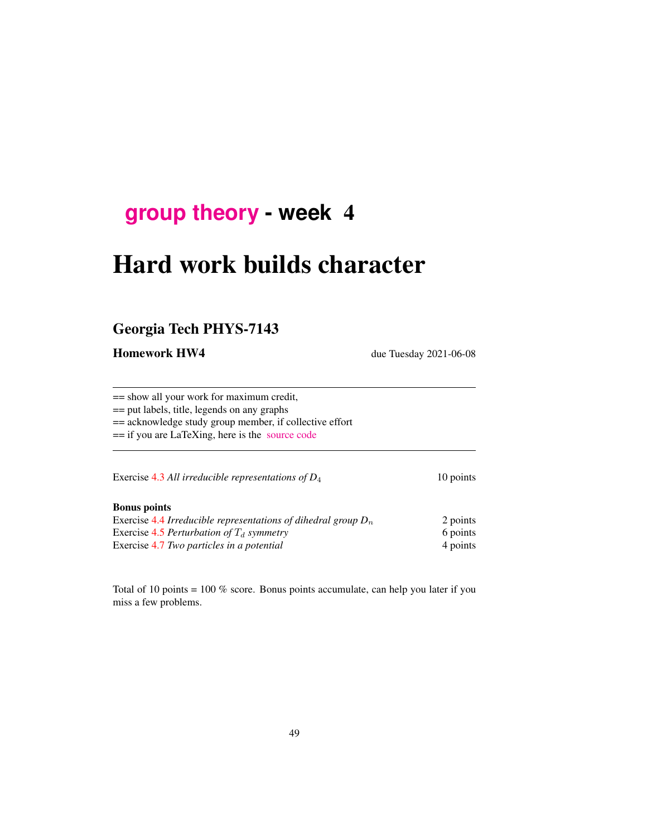# **[group theory](http://birdtracks.eu/course3/schedule.html) - week** 4

# Hard work builds character

# Georgia Tech PHYS-7143

Homework HW4 due Tuesday 2021-06-08

== show all your work for maximum credit,

== put labels, title, legends on any graphs

== acknowledge study group member, if collective effort

== if you are LaTeXing, here is the [source code](http://birdtracks.eu/course3/exerWeek4.tex)

Exercise [4.3](#page-7-0) *All irreducible representations of D*<sub>4</sub> 10 points

#### Bonus points

| Exercise 4.4 Irreducible representations of dihedral group $D_n$ | 2 points |
|------------------------------------------------------------------|----------|
| Exercise 4.5 Perturbation of $T_d$ symmetry                      | 6 points |
| Exercise 4.7 Two particles in a potential                        | 4 points |

Total of 10 points = 100 % score. Bonus points accumulate, can help you later if you miss a few problems.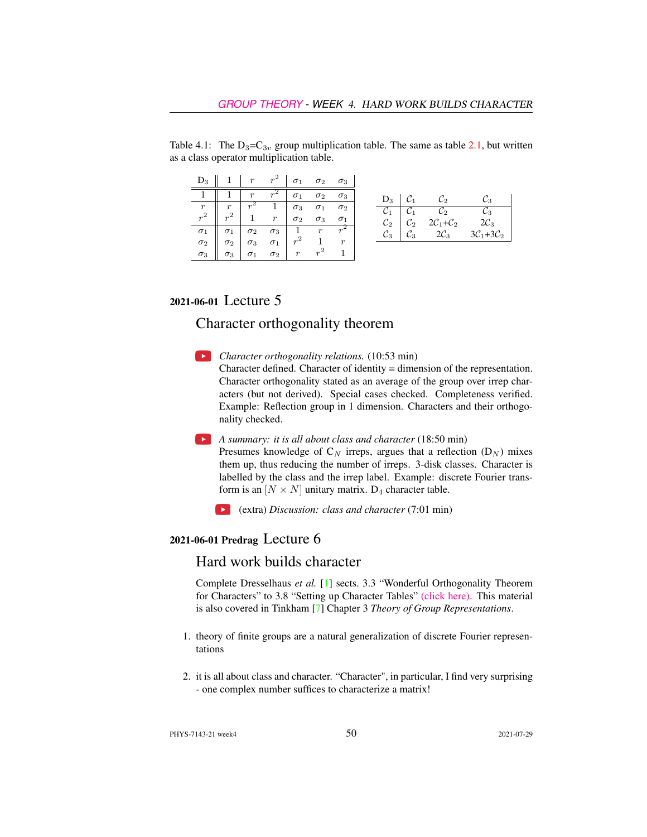| $D_3$                                                                           |            |            | $1 \mid r \mid r^2$                                               | $\sigma_1$                                                                         |            | $\sigma_2$ $\sigma_3$ |                 |                 |                  |                  |
|---------------------------------------------------------------------------------|------------|------------|-------------------------------------------------------------------|------------------------------------------------------------------------------------|------------|-----------------------|-----------------|-----------------|------------------|------------------|
|                                                                                 |            | r          | $r^2$                                                             | $\sigma_1$                                                                         | $\sigma_2$ | $\sigma_3$            | $D_3$           |                 | Co               | 3. ف             |
| $\begin{array}{c} r \\ r^2 \end{array}$ $\begin{array}{c} r \\ r^2 \end{array}$ |            |            |                                                                   |                                                                                    | $\sigma_1$ | $\sigma_2$            | $\mathcal{C}_1$ |                 | $\mathcal{C}_2$  | $\mathcal{C}_3$  |
|                                                                                 | $r^2$      |            | $\begin{array}{c c} & 1 & \sigma_3 \\ \hline & & r & \end{array}$ |                                                                                    | $\sigma_3$ | $\sigma_1$            | $\mathcal{C}_2$ | $\mathcal{C}_2$ | $2C_1+C_2$       | $2\mathcal{C}_3$ |
|                                                                                 | $\sigma_1$ | $\sigma_2$ |                                                                   | $\begin{array}{c c}\n\sigma_3 & \overline{1} & r \\ \tau_1 & r^2 & 1\n\end{array}$ |            |                       | $\mathcal{C}_3$ | $\mathcal{C}_3$ | $2\mathcal{C}_3$ | $3C_1+3C_2$      |
| $\sigma_1$ $\sigma_2$                                                           | $\sigma_2$ | $\sigma_3$ |                                                                   |                                                                                    |            | $\boldsymbol{r}$      |                 |                 |                  |                  |
| $\sigma_3$                                                                      | $\sigma_3$ | $\sigma_1$ | $\sigma_2$                                                        | $\lfloor r \rfloor$                                                                | $r^2$      |                       |                 |                 |                  |                  |

Table 4.1: The  $D_3 = C_{3v}$  group multiplication table. The same as table 2.1, but written as a class operator multiplication table.

## 2021-06-01 Lecture 5

# Character orthogonality theorem

- **Character orthogonality relations.** (10:53 min) Character defined. Character of identity = dimension of the representation. Character orthogonality stated as an average of the group over irrep characters (but not derived). Special cases checked. Completeness verified. Example: Reflection group in 1 dimension. Characters and their orthogonality checked.
- *A summary: it is all about class and character* (18:50 min)

Presumes knowledge of  $C_N$  irreps, argues that a reflection  $(D_N)$  mixes them up, thus reducing the number of irreps. 3-disk classes. Character is labelled by the class and the irrep label. Example: discrete Fourier transform is an  $[N \times N]$  unitary matrix. D<sub>4</sub> character table.

(extra) *Discussion: class and character* (7:01 min)

### 2021-06-01 Predrag Lecture 6

## Hard work builds character

Complete Dresselhaus *et al.* [\[1\]](#page-6-0) sects. 3.3 "Wonderful Orthogonality Theorem for Characters" to 3.8 "Setting up Character Tables" [\(click here\).](http://ChaosBook.org/library/Dresselhaus07.pdf) This material is also covered in Tinkham [\[7\]](#page-6-1) Chapter 3 *Theory of Group Representations*.

- 1. theory of finite groups are a natural generalization of discrete Fourier representations
- 2. it is all about class and character. "Character", in particular, I find very surprising - one complex number suffices to characterize a matrix!

PHYS-7143-21 week4 2021-07-29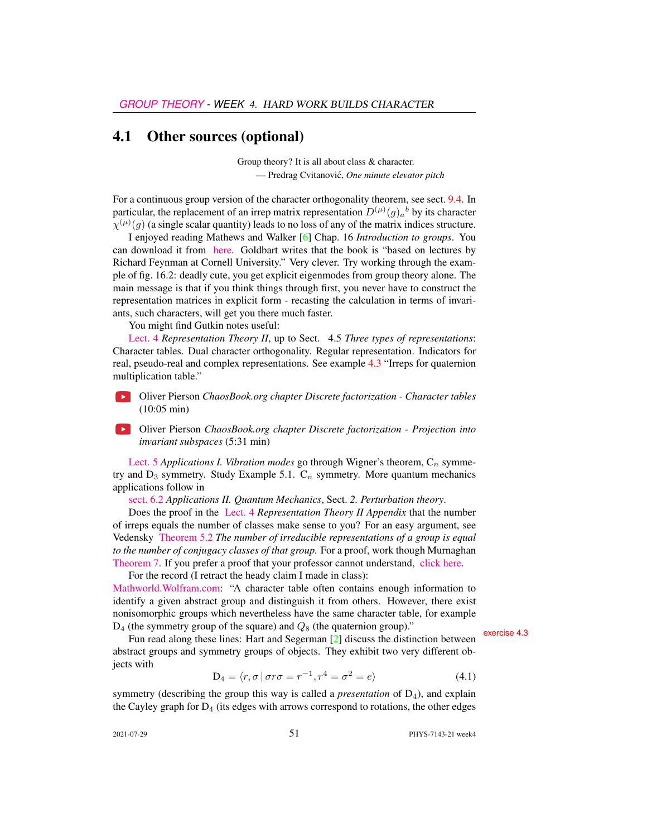## 4.1 Other sources (optional)

Group theory? It is all about class & character. — Predrag Cvitanovic,´ *One minute elevator pitch*

For a continuous group version of the character orthogonality theorem, see sect. 9.4. In particular, the replacement of an irrep matrix representation  $D^{(\mu)}(g)_a{}^b$  by its character  $\chi^{(\mu)}(g)$  (a single scalar quantity) leads to no loss of any of the matrix indices structure.

I enjoyed reading Mathews and Walker [\[6\]](#page-6-2) Chap. 16 *Introduction to groups*. You can download it from [here.](https://www.scribd.com/doc/225369262/Mathematical-Methods-of-Physics-2nd-Edition-Mathews-Walker) Goldbart writes that the book is "based on lectures by Richard Feynman at Cornell University." Very clever. Try working through the example of fig. 16.2: deadly cute, you get explicit eigenmodes from group theory alone. The main message is that if you think things through first, you never have to construct the representation matrices in explicit form - recasting the calculation in terms of invariants, such characters, will get you there much faster.

You might find Gutkin notes useful:

[Lect. 4](http://birdtracks.eu/course3/groups.pdf#chapter.4) *Representation Theory II*, up to Sect. 4.5 *Three types of representations*: Character tables. Dual character orthogonality. Regular representation. Indicators for real, pseudo-real and complex representations. See example [4.3](#page-6-3) "Irreps for quaternion multiplication table."

 $\rightarrow$ Oliver Pierson *ChaosBook.org chapter Discrete factorization - Character tables* (10:05 min)

Oliver Pierson *ChaosBook.org chapter Discrete factorization - Projection into invariant subspaces* (5:31 min)

[Lect. 5](http://birdtracks.eu/course3/groups.pdf#chapter.5) *Applications I. Vibration modes* go through Wigner's theorem,  $C_n$  symmetry and  $D_3$  symmetry. Study Example 5.1.  $C_n$  symmetry. More quantum mechanics applications follow in

[sect. 6.2](http://birdtracks.eu/course3/groups.pdf#section.6.2) *Applications II. Quantum Mechanics*, Sect. *2. Perturbation theory*.

Does the proof in the [Lect. 4](http://birdtracks.eu/course3/groups.pdf#chapter.4) *Representation Theory II Appendix* that the number of irreps equals the number of classes make sense to you? For an easy argument, see Vedensky [Theorem 5.2](http://www.cmth.ph.ic.ac.uk/people/d.vvedensky/groups/Chapter5.pdf) *The number of irreducible representations of a group is equal to the number of conjugacy classes of that group.* For a proof, work though Murnaghan [Theorem 7.](http://www.math.toronto.edu/murnaghan/courses/mat445/ch2.pdf) If you prefer a proof that your professor cannot understand, [click here.](http://mathoverflow.net/questions/102879/bijection-between-irreducible-representations-and-conjugacy-classes-of-finite-gr)

For the record (I retract the heady claim I made in class):

[Mathworld.Wolfram.com:](http://mathworld.wolfram.com/CharacterTable.html) "A character table often contains enough information to identify a given abstract group and distinguish it from others. However, there exist nonisomorphic groups which nevertheless have the same character table, for example  $D_4$  (the symmetry group of the square) and  $Q_8$  (the quaternion group)."<br>Fun read along these lines: Hart and Segerman [\[2\]](#page-6-4) discuss the distinction between

abstract groups and symmetry groups of objects. They exhibit two very different objects with

$$
D_4 = \langle r, \sigma \, | \, \sigma r \sigma = r^{-1}, r^4 = \sigma^2 = e \rangle \tag{4.1}
$$

symmetry (describing the group this way is called a *presentation* of D4), and explain the Cayley graph for  $D_4$  (its edges with arrows correspond to rotations, the other edges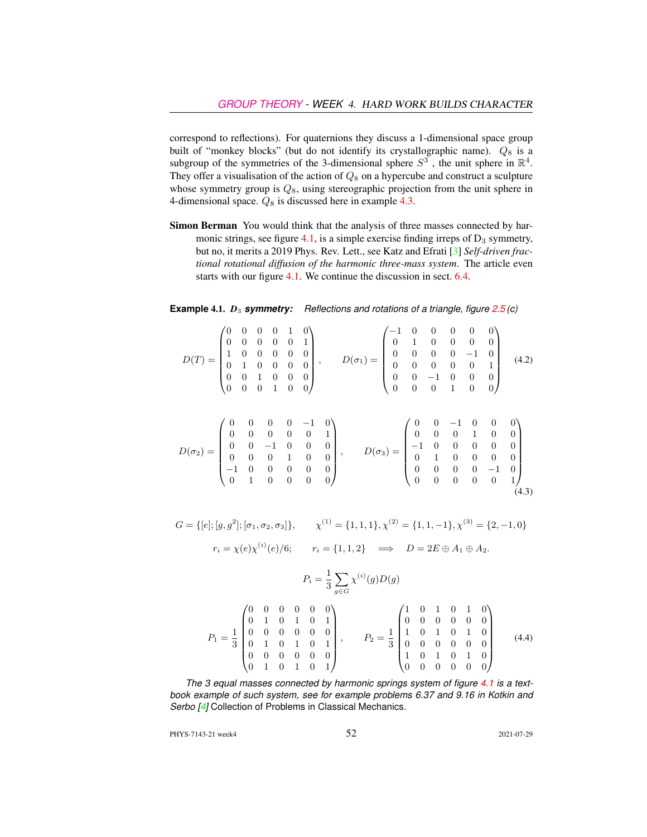correspond to reflections). For quaternions they discuss a 1-dimensional space group built of "monkey blocks" (but do not identify its crystallographic name).  $Q_8$  is a subgroup of the symmetries of the 3-dimensional sphere  $S^3$ , the unit sphere in  $\mathbb{R}^4$ . They offer a visualisation of the action of  $Q_8$  on a hypercube and construct a sculpture whose symmetry group is  $Q_8$ , using stereographic projection from the unit sphere in 4-dimensional space.  $Q_8$  is discussed here in example [4.3.](#page-6-3)

Simon Berman You would think that the analysis of three masses connected by har-monic strings, see figure [4.1,](#page-4-0) is a simple exercise finding irreps of  $D_3$  symmetry, but no, it merits a 2019 Phys. Rev. Lett., see Katz and Efrati [\[3\]](#page-6-5) *Self-driven fractional rotational diffusion of the harmonic three-mass system*. The article even starts with our figure [4.1.](#page-4-0) We continue the discussion in sect. 6.4.

**Example 4.1.**  $D_3$  **symmetry:** Reflections and rotations of a triangle, figure 2.5(c)

|  |  |  |  | $D(T) = \begin{pmatrix} 0 & 0 & 0 & 0 & 1 & 0 \\ 0 & 0 & 0 & 0 & 0 & 1 \\ 1 & 0 & 0 & 0 & 0 & 0 \\ 0 & 1 & 0 & 0 & 0 & 0 \\ 0 & 0 & 1 & 0 & 0 & 0 \\ 0 & 0 & 0 & 1 & 0 & 0 \end{pmatrix}, \qquad D(\sigma_1) = \begin{pmatrix} -1 & 0 & 0 & 0 & 0 & 0 \\ 0 & 1 & 0 & 0 & 0 & 0 \\ 0 & 0 & 0 & 0 & -1 & 0 \\ 0 & 0 & 0 & 0 & 0 & 1 \\ 0 & 0 & -1 &$      |  |  |  | (4.2) |
|--|--|--|--|---------------------------------------------------------------------------------------------------------------------------------------------------------------------------------------------------------------------------------------------------------------------------------------------------------------------------------------------------------|--|--|--|-------|
|  |  |  |  | $D(\sigma_2) = \begin{pmatrix} 0 & 0 & 0 & 0 & -1 & 0 \\ 0 & 0 & 0 & 0 & 0 & 1 \\ 0 & 0 & -1 & 0 & 0 & 0 \\ 0 & 0 & 0 & 1 & 0 & 0 \\ -1 & 0 & 0 & 0 & 0 & 0 \\ 0 & 1 & 0 & 0 & 0 & 0 \end{pmatrix}, \qquad D(\sigma_3) = \begin{pmatrix} 0 & 0 & -1 & 0 & 0 & 0 \\ 0 & 0 & 0 & 1 & 0 & 0 \\ -1 & 0 & 0 & 0 & 0 & 0 \\ 0 & 1 & 0 & 0 & 0 & 0 \\ 0 & 0 &$ |  |  |  | (4.3) |

 $G = \{ [e]; [g, g^2]; [\sigma_1, \sigma_2, \sigma_3] \}, \qquad \chi^{(1)} = \{1, 1, 1\}, \chi^{(2)} = \{1, 1, -1\}, \chi^{(3)} = \{2, -1, 0\}$  $r_i = \chi(e)\chi^{(i)}(e)/6;$   $r_i = \{1, 1, 2\}$   $\implies$   $D = 2E \oplus A_1 \oplus A_2.$ 

$$
P_i = \frac{1}{3} \sum_{g \in G} \chi^{(i)}(g) D(g)
$$
  
\n
$$
P_1 = \frac{1}{3} \begin{pmatrix} 0 & 0 & 0 & 0 & 0 & 0 \\ 0 & 1 & 0 & 1 & 0 & 1 \\ 0 & 0 & 0 & 0 & 0 & 0 \\ 0 & 1 & 0 & 1 & 0 & 1 \\ 0 & 0 & 0 & 0 & 0 & 0 \\ 0 & 1 & 0 & 1 & 0 & 1 \end{pmatrix}, \qquad P_2 = \frac{1}{3} \begin{pmatrix} 1 & 0 & 1 & 0 & 1 & 0 \\ 0 & 0 & 0 & 0 & 0 & 0 \\ 1 & 0 & 1 & 0 & 1 & 0 \\ 0 & 0 & 0 & 0 & 0 & 0 \\ 1 & 0 & 1 & 0 & 1 & 0 \\ 0 & 0 & 0 & 0 & 0 & 0 \end{pmatrix}
$$
(4.4)

*The 3 equal masses connected by harmonic springs system of figure [4.1](#page-4-0) is a textbook example of such system, see for example problems 6.37 and 9.16 in Kotkin and Serbo [\[4\]](#page-6-6)* Collection of Problems in Classical Mechanics*.*

PHYS-7143-21 week4 2021-07-29 2021-07-29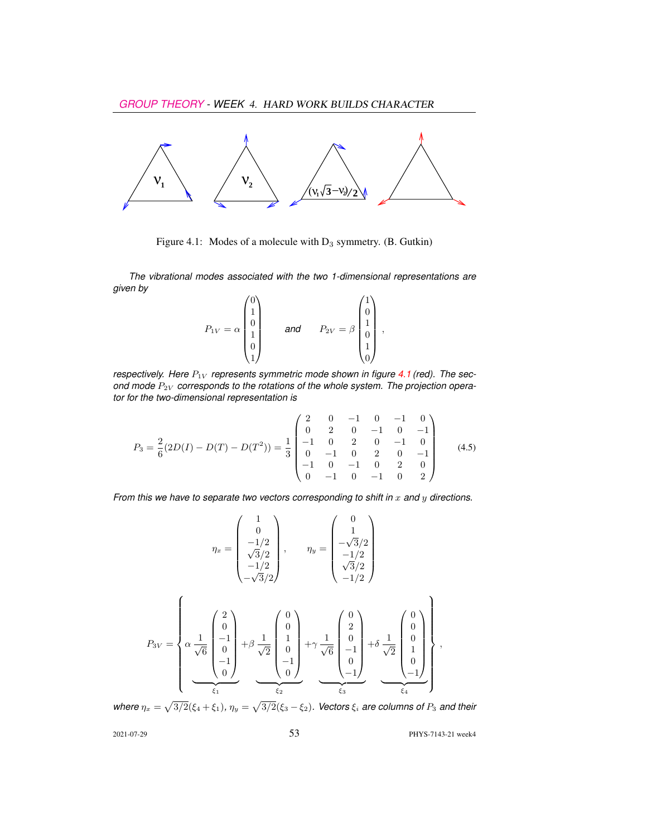

<span id="page-4-0"></span>Figure 4.1: Modes of a molecule with  $D_3$  symmetry. (B. Gutkin)

*The vibrational modes associated with the two 1-dimensional representations are given by*

$$
P_{1V} = \alpha \begin{pmatrix} 0 \\ 1 \\ 0 \\ 1 \\ 0 \\ 1 \end{pmatrix} \quad \text{and} \quad P_{2V} = \beta \begin{pmatrix} 1 \\ 0 \\ 1 \\ 0 \\ 1 \\ 0 \end{pmatrix},
$$

*respectively. Here*  $P_{1V}$  *represents symmetric mode shown in figure [4.1](#page-4-0) (red). The sec*ond mode  $P_{2V}$  corresponds to the rotations of the whole system. The projection opera*tor for the two-dimensional representation is*

$$
P_3 = \frac{2}{6}(2D(I) - D(T) - D(T^2)) = \frac{1}{3} \begin{pmatrix} 2 & 0 & -1 & 0 & -1 & 0 \\ 0 & 2 & 0 & -1 & 0 & -1 \\ -1 & 0 & 2 & 0 & -1 & 0 \\ 0 & -1 & 0 & 2 & 0 & -1 \\ -1 & 0 & -1 & 0 & 2 & 0 \\ 0 & -1 & 0 & -1 & 0 & 2 \end{pmatrix}
$$
(4.5)

*From this we have to separate two vectors corresponding to shift in* x and y directions.

$$
\eta_x = \begin{pmatrix} 1 \\ 0 \\ -1/2 \\ \sqrt{3}/2 \\ -1/2 \\ -\sqrt{3}/2 \end{pmatrix}, \qquad \eta_y = \begin{pmatrix} 0 \\ 1 \\ -\sqrt{3}/2 \\ \sqrt{3}/2 \\ \sqrt{3}/2 \\ -1/2 \end{pmatrix}
$$

$$
P_{3V} = \begin{pmatrix} 2 \\ 0 \\ \alpha \\ \frac{1}{\sqrt{6}} \begin{pmatrix} 2 \\ 0 \\ -1 \\ 0 \\ -1 \\ 0 \end{pmatrix} + \beta \frac{1}{\sqrt{2}} \begin{pmatrix} 0 \\ 0 \\ 1 \\ 0 \\ -1 \\ 0 \end{pmatrix} + \gamma \frac{1}{\sqrt{6}} \begin{pmatrix} 0 \\ 2 \\ 0 \\ -1 \\ 0 \\ -1 \end{pmatrix} + \delta \frac{1}{\sqrt{2}} \begin{pmatrix} 0 \\ 0 \\ 0 \\ 1 \\ 0 \\ -1 \end{pmatrix},
$$

$$
\xi_1 = \begin{pmatrix} 0 \\ 0 \\ 0 \\ 0 \\ -1 \end{pmatrix} + \delta \frac{1}{\sqrt{2}} \begin{pmatrix} 0 \\ 0 \\ 0 \\ 0 \\ -1 \end{pmatrix} + \delta \frac{1}{\sqrt{2}} \begin{pmatrix} 0 \\ 0 \\ 0 \\ 0 \\ -1 \end{pmatrix} + \delta \frac{1}{\sqrt{2}} \begin{pmatrix} 0 \\ 0 \\ 0 \\ 0 \\ -1 \end{pmatrix}.
$$

where  $\eta_x = \sqrt{3/2}(\xi_4 + \xi_1)$ ,  $\eta_y = \sqrt{3/2}(\xi_3 - \xi_2)$ . Vectors  $\xi_i$  *are columns of*  $P_3$  *and their* 

2021-07-29 53 PHYS-7143-21 week4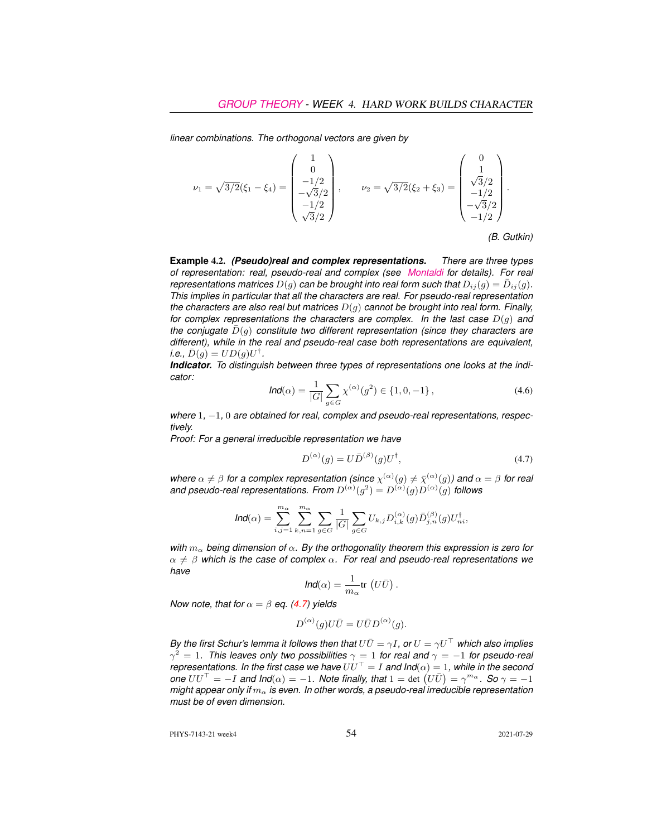*linear combinations. The orthogonal vectors are given by*

$$
\nu_1 = \sqrt{3/2}(\xi_1 - \xi_4) = \begin{pmatrix} 1 \\ 0 \\ -1/2 \\ -\sqrt{3}/2 \\ -1/2 \\ \sqrt{3}/2 \end{pmatrix}, \qquad \nu_2 = \sqrt{3/2}(\xi_2 + \xi_3) = \begin{pmatrix} 0 \\ 1 \\ \sqrt{3}/2 \\ -1/2 \\ -\sqrt{3}/2 \\ -1/2 \end{pmatrix}.
$$

*(B. Gutkin)*

**Example** 4.2. *(Pseudo)real and complex representations. There are three types of representation: real, pseudo-real and complex (see [Montaldi](https://www.maths.manchester.ac.uk/~jm/wiki/Representations/CharacterTheory) for details). For real representations matrices*  $D(g)$  *can be brought into real form such that*  $D_{ij}(g) = \bar{D}_{ij}(g)$ *. This implies in particular that all the characters are real. For pseudo-real representation the characters are also real but matrices* D(g) *cannot be brought into real form. Finally, for complex representations the characters are complex. In the last case* D(g) *and the conjugate*  $\bar{D}(g)$  *constitute two different representation (since they characters are different), while in the real and pseudo-real case both representations are equivalent,*  $i.e., \bar{D}(g) = UD(g)U^{\dagger}.$ 

*Indicator. To distinguish between three types of representations one looks at the indicator:*

$$
\text{Ind}(\alpha) = \frac{1}{|G|} \sum_{g \in G} \chi^{(\alpha)}(g^2) \in \{1, 0, -1\},\tag{4.6}
$$

*where* 1*,* −1*,* 0 *are obtained for real, complex and pseudo-real representations, respectively.*

*Proof: For a general irreducible representation we have*

<span id="page-5-0"></span>
$$
D^{(\alpha)}(g) = U \bar{D}^{(\beta)}(g) U^{\dagger}, \tag{4.7}
$$

where  $\alpha \neq \beta$  for a complex representation (since  $\chi^{(\alpha)}(g) \neq \bar{\chi}^{(\alpha)}(g)$ ) and  $\alpha = \beta$  for real and pseudo-real representations. From  $D^{(\alpha)}(g^2) = D^{(\alpha)}(g)D^{(\alpha)}(g)$  follows

$$
\text{Ind}(\alpha) = \sum_{i,j=1}^{m_\alpha} \sum_{k,n=1}^{m_\alpha} \sum_{g \in G} \frac{1}{|G|} \sum_{g \in G} U_{k,j} D_{i,k}^{(\alpha)}(g) \bar{D}_{j,n}^{(\beta)}(g) U_{ni}^\dagger,
$$

*with* m<sup>α</sup> *being dimension of* α*. By the orthogonality theorem this expression is zero for*  $\alpha \neq \beta$  which is the case of complex  $\alpha$ . For real and pseudo-real representations we *have*

$$
\textit{Ind}(\alpha) = \frac{1}{m_\alpha} {\rm tr}\, \left(U\bar{U}\right).
$$

*Now note, that for*  $\alpha = \beta$  *eq.* [\(4.7\)](#page-5-0) yields

$$
D^{(\alpha)}(g)U\overline{U}=U\overline{U}D^{(\alpha)}(g).
$$

*By the first Schur's lemma it follows then that*  $U\overline{U} = \gamma I$ , or  $U = \gamma U^{\top}$  *which also implies*  $\gamma^2=1.$  This leaves only two possibilities  $\gamma=1$  for real and  $\gamma=-1$  for pseudo-real *representations. In the first case we have*  $UU^{\top} = I$  *and*  $Ind(\alpha) = 1$ *, while in the second*  $\rho$  *one*  $UU^{\top} = -I$  and  $\text{Ind}(\alpha) = -1$ . Note finally, that  $1 = \det (U\bar{U}) = \gamma^{m_{\alpha}}$ . So  $\gamma = -1$ *might appear only if*  $m_\alpha$  *is even. In other words, a pseudo-real irreducible representation must be of even dimension.*

PHYS-7143-21 week4 2021-07-29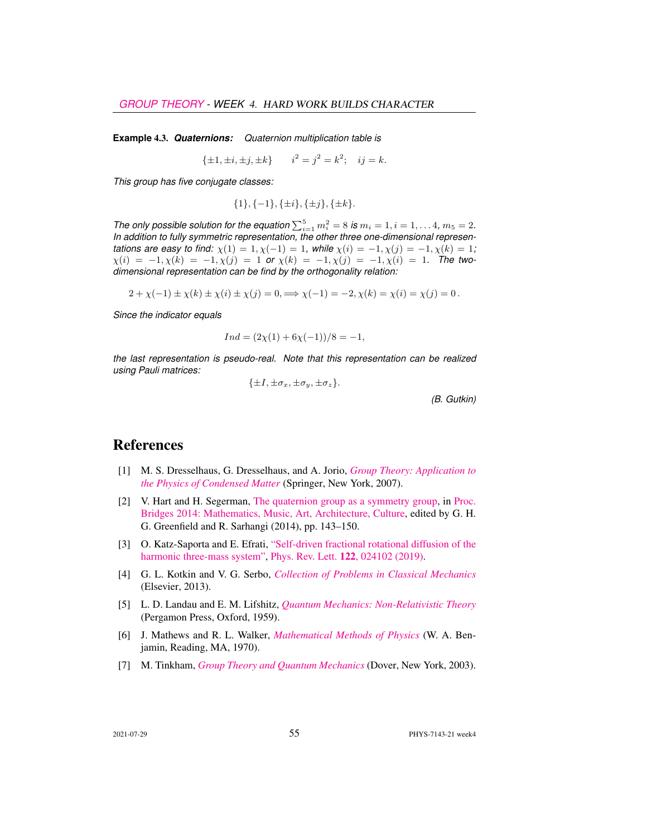<span id="page-6-3"></span>**Example** 4.3. *Quaternions: Quaternion multiplication table is*

 $\{\pm 1, \pm i, \pm j, \pm k\}$   $i^2 = j^2 = k^2$ ;  $ij = k$ .

*This group has five conjugate classes:*

$$
\{1\}, \{-1\}, \{\pm i\}, \{\pm j\}, \{\pm k\}.
$$

*The only possible solution for the equation*  $\sum_{i=1}^{5} m_i^2 = 8$  *is*  $m_i = 1, i = 1, \ldots 4, m_5 = 2$ *. In addition to fully symmetric representation, the other three one-dimensional representations are easy to find:*  $\chi(1) = 1, \chi(-1) = 1$ *, while*  $\chi(i) = -1, \chi(j) = -1, \chi(k) = 1$ *;*  $\chi(i) = -1, \chi(k) = -1, \chi(j) = 1$  or  $\chi(k) = -1, \chi(j) = -1, \chi(i) = 1$ . The two*dimensional representation can be find by the orthogonality relation:*

$$
2 + \chi(-1) \pm \chi(k) \pm \chi(i) \pm \chi(j) = 0, \implies \chi(-1) = -2, \chi(k) = \chi(i) = \chi(j) = 0.
$$

*Since the indicator equals*

$$
Ind = (2\chi(1) + 6\chi(-1))/8 = -1,
$$

*the last representation is pseudo-real. Note that this representation can be realized using Pauli matrices:*

 $\{\pm I, \pm \sigma_x, \pm \sigma_y, \pm \sigma_z\}.$ 

*(B. Gutkin)*

## References

- <span id="page-6-0"></span>[1] M. S. Dresselhaus, G. Dresselhaus, and A. Jorio, *[Group Theory: Application to](http://dx.doi.org/10.1007/978-3-540-32899-5) [the Physics of Condensed Matter](http://dx.doi.org/10.1007/978-3-540-32899-5)* (Springer, New York, 2007).
- <span id="page-6-4"></span>[2] V. Hart and H. Segerman, [The quaternion group as a symmetry group,](http://archive.bridgesmathart.org/2014/bridges2014-143.html) in [Proc.](http://archive.bridgesmathart.org/2014/bridges2014-143.html) [Bridges 2014: Mathematics, Music, Art, Architecture, Culture,](http://archive.bridgesmathart.org/2014/bridges2014-143.html) edited by G. H. G. Greenfield and R. Sarhangi (2014), pp. 143–150.
- <span id="page-6-5"></span>[3] O. Katz-Saporta and E. Efrati, ["Self-driven fractional rotational diffusion of the](http://dx.doi.org/10.1103/physrevlett.122.024102) [harmonic three-mass system",](http://dx.doi.org/10.1103/physrevlett.122.024102) Phys. Rev. Lett. 122[, 024102 \(2019\).](https://doi.org/10.1103/physrevlett.122.024102)
- <span id="page-6-6"></span>[4] G. L. Kotkin and V. G. Serbo, *[Collection of Problems in Classical Mechanics](http://books.google.com/books?vid=ISBN9781483186610)* (Elsevier, 2013).
- <span id="page-6-7"></span>[5] L. D. Landau and E. M. Lifshitz, *[Quantum Mechanics: Non-Relativistic Theory](https://archive.org/search.php?query=creator%3A%22L.D.+Landau+%26+E.M.+Lifshitz%22)* (Pergamon Press, Oxford, 1959).
- <span id="page-6-2"></span>[6] J. Mathews and R. L. Walker, *[Mathematical Methods of Physics](http://dx.doi.org/10.2307/2316002)* (W. A. Benjamin, Reading, MA, 1970).
- <span id="page-6-1"></span>[7] M. Tinkham, *[Group Theory and Quantum Mechanics](http://dx.doi.org/10.1016/c2013-0-01646-5)* (Dover, New York, 2003).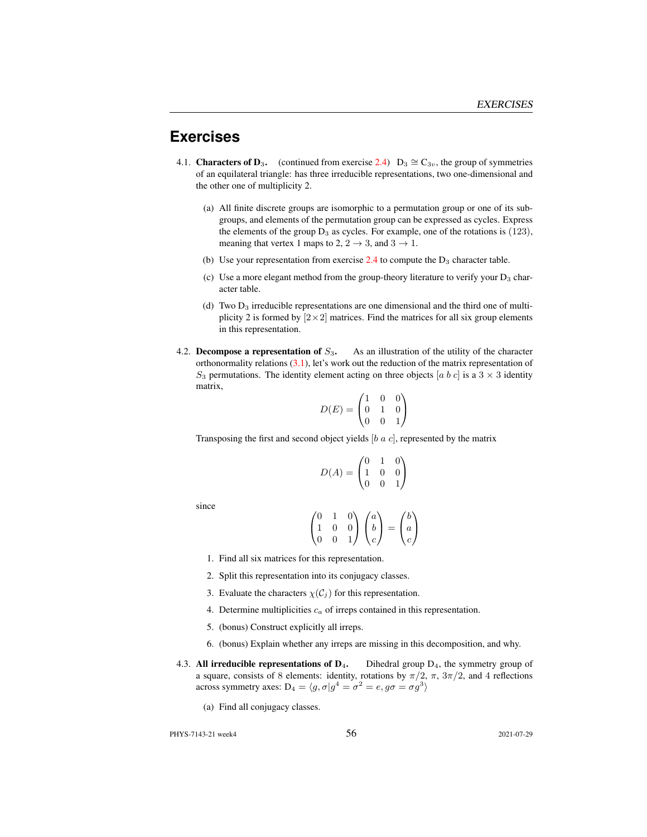## **Exercises**

- 4.1. **Characters of D<sub>3</sub>.** (continued from exercise 2.4) D<sub>3</sub>  $\cong$  C<sub>3v</sub>, the group of symmetries of an equilateral triangle: has three irreducible representations, two one-dimensional and the other one of multiplicity 2.
	- (a) All finite discrete groups are isomorphic to a permutation group or one of its subgroups, and elements of the permutation group can be expressed as cycles. Express the elements of the group  $D_3$  as cycles. For example, one of the rotations is (123), meaning that vertex 1 maps to 2,  $2 \rightarrow 3$ , and  $3 \rightarrow 1$ .
	- (b) Use your representation from exercise  $2.4$  to compute the  $D_3$  character table.
	- (c) Use a more elegant method from the group-theory literature to verify your  $D_3$  character table.
	- (d) Two  $D_3$  irreducible representations are one dimensional and the third one of multiplicity 2 is formed by  $[2\times2]$  matrices. Find the matrices for all six group elements in this representation.
- 4.2. Decompose a representation of  $S_3$ . As an illustration of the utility of the character orthonormality relations  $(3.1)$ , let's work out the reduction of the matrix representation of  $S_3$  permutations. The identity element acting on three objects [a b c] is a 3  $\times$  3 identity matrix,

$$
D(E) = \begin{pmatrix} 1 & 0 & 0 \\ 0 & 1 & 0 \\ 0 & 0 & 1 \end{pmatrix}
$$

Transposing the first and second object yields  $[b \ a \ c]$ , represented by the matrix

$$
D(A) = \begin{pmatrix} 0 & 1 & 0 \\ 1 & 0 & 0 \\ 0 & 0 & 1 \end{pmatrix}
$$

since

$$
\begin{pmatrix} 0 & 1 & 0 \\ 1 & 0 & 0 \\ 0 & 0 & 1 \end{pmatrix} \begin{pmatrix} a \\ b \\ c \end{pmatrix} = \begin{pmatrix} b \\ a \\ c \end{pmatrix}
$$

- 1. Find all six matrices for this representation.
- 2. Split this representation into its conjugacy classes.
- 3. Evaluate the characters  $\chi(C_j)$  for this representation.
- 4. Determine multiplicities  $c_a$  of irreps contained in this representation.
- 5. (bonus) Construct explicitly all irreps.
- 6. (bonus) Explain whether any irreps are missing in this decomposition, and why.
- <span id="page-7-0"></span>4.3. All irreducible representations of  $D_4$ . Dihedral group  $D_4$ , the symmetry group of a square, consists of 8 elements: identity, rotations by  $\pi/2$ ,  $\pi$ ,  $3\pi/2$ , and 4 reflections across symmetry axes:  $D_4 = \langle g, \sigma | g^4 = \sigma^2 = e, g\sigma = \sigma g^3 \rangle$ 
	- (a) Find all conjugacy classes.

PHYS-7143-21 week4 56 2021-07-29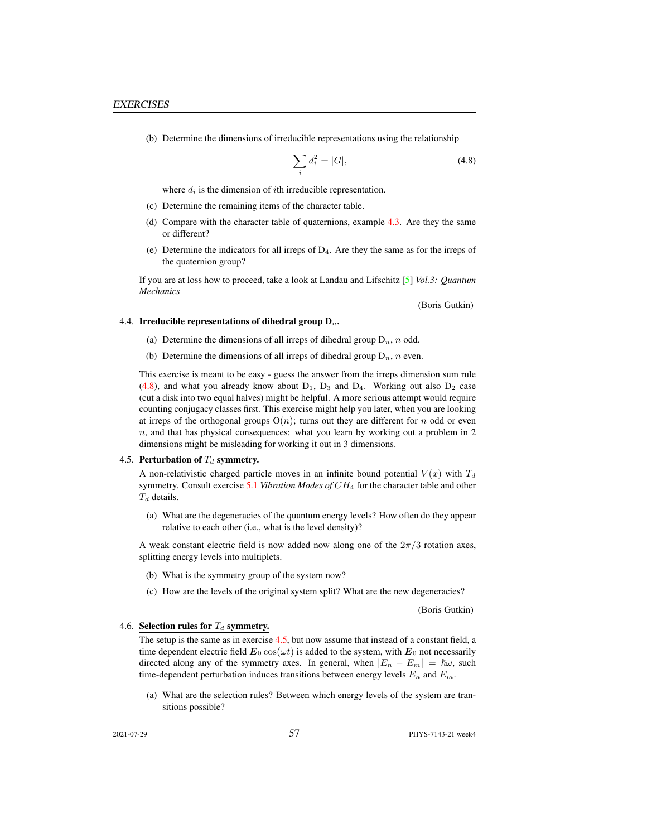(b) Determine the dimensions of irreducible representations using the relationship

<span id="page-8-2"></span>
$$
\sum_{i} d_i^2 = |G|,\t\t(4.8)
$$

where  $d_i$  is the dimension of *i*th irreducible representation.

- (c) Determine the remaining items of the character table.
- (d) Compare with the character table of quaternions, example [4.3.](#page-6-3) Are they the same or different?
- (e) Determine the indicators for all irreps of  $D_4$ . Are they the same as for the irreps of the quaternion group?

If you are at loss how to proceed, take a look at Landau and Lifschitz [\[5\]](#page-6-7) *Vol.3: Quantum Mechanics*

(Boris Gutkin)

#### <span id="page-8-0"></span>4.4. Irreducible representations of dihedral group  $D_n$ .

- (a) Determine the dimensions of all irreps of dihedral group  $D_n$ , n odd.
- (b) Determine the dimensions of all irreps of dihedral group  $D_n$ , n even.

This exercise is meant to be easy - guess the answer from the irreps dimension sum rule  $(4.8)$ , and what you already know about  $D_1$ ,  $D_3$  and  $D_4$ . Working out also  $D_2$  case (cut a disk into two equal halves) might be helpful. A more serious attempt would require counting conjugacy classes first. This exercise might help you later, when you are looking at irreps of the orthogonal groups  $O(n)$ ; turns out they are different for n odd or even  $n$ , and that has physical consequences: what you learn by working out a problem in 2 dimensions might be misleading for working it out in 3 dimensions.

#### <span id="page-8-1"></span>4.5. Perturbation of  $T_d$  symmetry.

A non-relativistic charged particle moves in an infinite bound potential  $V(x)$  with  $T<sub>d</sub>$ symmetry. Consult exercise 5.1 *Vibration Modes of* CH<sup>4</sup> for the character table and other  $T_d$  details.

(a) What are the degeneracies of the quantum energy levels? How often do they appear relative to each other (i.e., what is the level density)?

A weak constant electric field is now added now along one of the  $2\pi/3$  rotation axes, splitting energy levels into multiplets.

- (b) What is the symmetry group of the system now?
- (c) How are the levels of the original system split? What are the new degeneracies?

(Boris Gutkin)

#### 4.6. Selection rules for  $T_d$  symmetry.

The setup is the same as in exercise [4.5,](#page-8-1) but now assume that instead of a constant field, a time dependent electric field  $\mathbf{E}_0 \cos(\omega t)$  is added to the system, with  $\mathbf{E}_0$  not necessarily directed along any of the symmetry axes. In general, when  $|E_n - E_m| = \hbar \omega$ , such time-dependent perturbation induces transitions between energy levels  $E_n$  and  $E_m$ .

(a) What are the selection rules? Between which energy levels of the system are transitions possible?